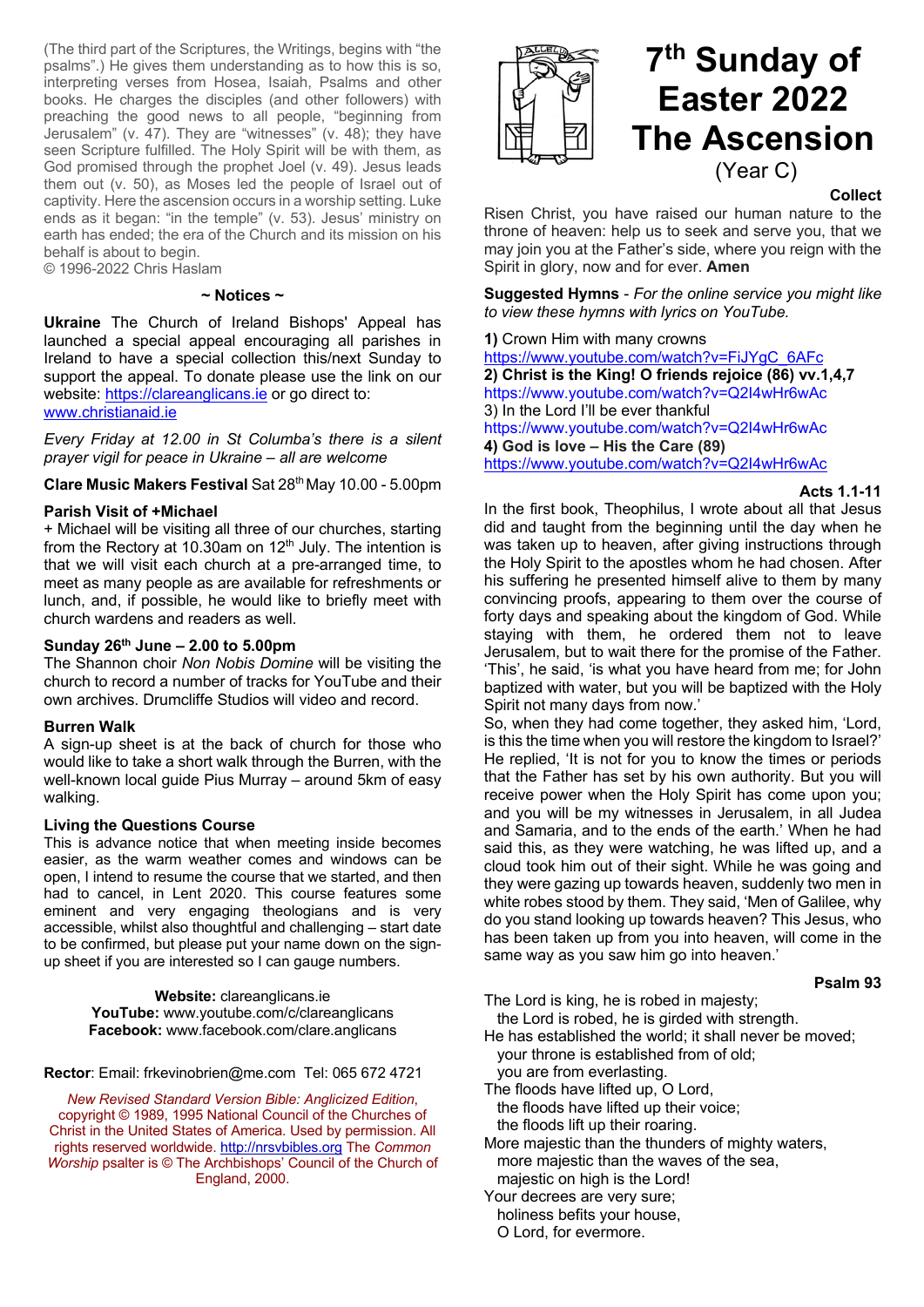(The third part of the Scriptures, the Writings, begins with "the psalms".) He gives them understanding as to how this is so, interpreting verses from Hosea, Isaiah, Psalms and other books. He charges the disciples (and other followers) with preaching the good news to all people, "beginning from Jerusalem" (v. 47). They are "witnesses" (v. 48); they have seen Scripture fulfilled. The Holy Spirit will be with them, as God promised through the prophet Joel (v. 49). Jesus leads them out (v. 50), as Moses led the people of Israel out of captivity. Here the ascension occurs in a worship setting. Luke ends as it began: "in the temple" (v. 53). Jesus' ministry on earth has ended; the era of the Church and its mission on his behalf is about to begin.

© 1996-2022 Chris Haslam

#### **~ Notices ~**

**Ukraine** The Church of Ireland Bishops' Appeal has launched a special appeal encouraging all parishes in Ireland to have a special collection this/next Sunday to support the appeal. To donate please use the link on our website: https://clareanglicans.ie or go direct to: www.christianaid.ie

*Every Friday at 12.00 in St Columba's there is a silent prayer vigil for peace in Ukraine – all are welcome*

**Clare Music Makers Festival** Sat 28th May 10.00 - 5.00pm

## **Parish Visit of +Michael**

+ Michael will be visiting all three of our churches, starting from the Rectory at 10.30am on  $12<sup>th</sup>$  July. The intention is that we will visit each church at a pre-arranged time, to meet as many people as are available for refreshments or lunch, and, if possible, he would like to briefly meet with church wardens and readers as well.

# **Sunday 26th June – 2.00 to 5.00pm**

The Shannon choir *Non Nobis Domine* will be visiting the church to record a number of tracks for YouTube and their own archives. Drumcliffe Studios will video and record.

### **Burren Walk**

A sign-up sheet is at the back of church for those who would like to take a short walk through the Burren, with the well-known local guide Pius Murray – around 5km of easy walking.

## **Living the Questions Course**

This is advance notice that when meeting inside becomes easier, as the warm weather comes and windows can be open, I intend to resume the course that we started, and then had to cancel, in Lent 2020. This course features some eminent and very engaging theologians and is very accessible, whilst also thoughtful and challenging – start date to be confirmed, but please put your name down on the signup sheet if you are interested so I can gauge numbers.

> **Website:** clareanglicans.ie **YouTube:** www.youtube.com/c/clareanglicans **Facebook:** www.facebook.com/clare.anglicans

**Rector**: Email: frkevinobrien@me.com Tel: 065 672 4721

*New Revised Standard Version Bible: Anglicized Edition*, copyright © 1989, 1995 National Council of the Churches of Christ in the United States of America. Used by permission. All rights reserved worldwide. http://nrsvbibles.org The *Common Worship* psalter is © The Archbishops' Council of the Church of England, 2000.



### **Collect**

Risen Christ, you have raised our human nature to the throne of heaven: help us to seek and serve you, that we may join you at the Father's side, where you reign with the Spirit in glory, now and for ever. **Amen**

**Suggested Hymns** - *For the online service you might like to view these hymns with lyrics on YouTube.*

**1)** Crown Him with many crowns https://www.youtube.com/watch?v=FiJYgC\_6AFc **2) Christ is the King! O friends rejoice (86) vv.1,4,7** https://www.youtube.com/watch?v=Q2I4wHr6wAc 3) In the Lord I'll be ever thankful https://www.youtube.com/watch?v=Q2I4wHr6wAc **4) God is love – His the Care (89)** https://www.youtube.com/watch?v=Q2I4wHr6wAc

**Acts 1.1-11**

In the first book, Theophilus, I wrote about all that Jesus did and taught from the beginning until the day when he was taken up to heaven, after giving instructions through the Holy Spirit to the apostles whom he had chosen. After his suffering he presented himself alive to them by many convincing proofs, appearing to them over the course of forty days and speaking about the kingdom of God. While staying with them, he ordered them not to leave Jerusalem, but to wait there for the promise of the Father. 'This', he said, 'is what you have heard from me; for John baptized with water, but you will be baptized with the Holy Spirit not many days from now.'

So, when they had come together, they asked him, 'Lord, is this the time when you will restore the kingdom to Israel?' He replied, 'It is not for you to know the times or periods that the Father has set by his own authority. But you will receive power when the Holy Spirit has come upon you; and you will be my witnesses in Jerusalem, in all Judea and Samaria, and to the ends of the earth.' When he had said this, as they were watching, he was lifted up, and a cloud took him out of their sight. While he was going and they were gazing up towards heaven, suddenly two men in white robes stood by them. They said, 'Men of Galilee, why do you stand looking up towards heaven? This Jesus, who has been taken up from you into heaven, will come in the same way as you saw him go into heaven.'

## **Psalm 93**

The Lord is king, he is robed in majesty; the Lord is robed, he is girded with strength.

He has established the world; it shall never be moved; your throne is established from of old; you are from everlasting.

The floods have lifted up, O Lord,

 the floods have lifted up their voice; the floods lift up their roaring.

More majestic than the thunders of mighty waters, more majestic than the waves of the sea, majestic on high is the Lord!

Your decrees are very sure;

holiness befits your house,

O Lord, for evermore.